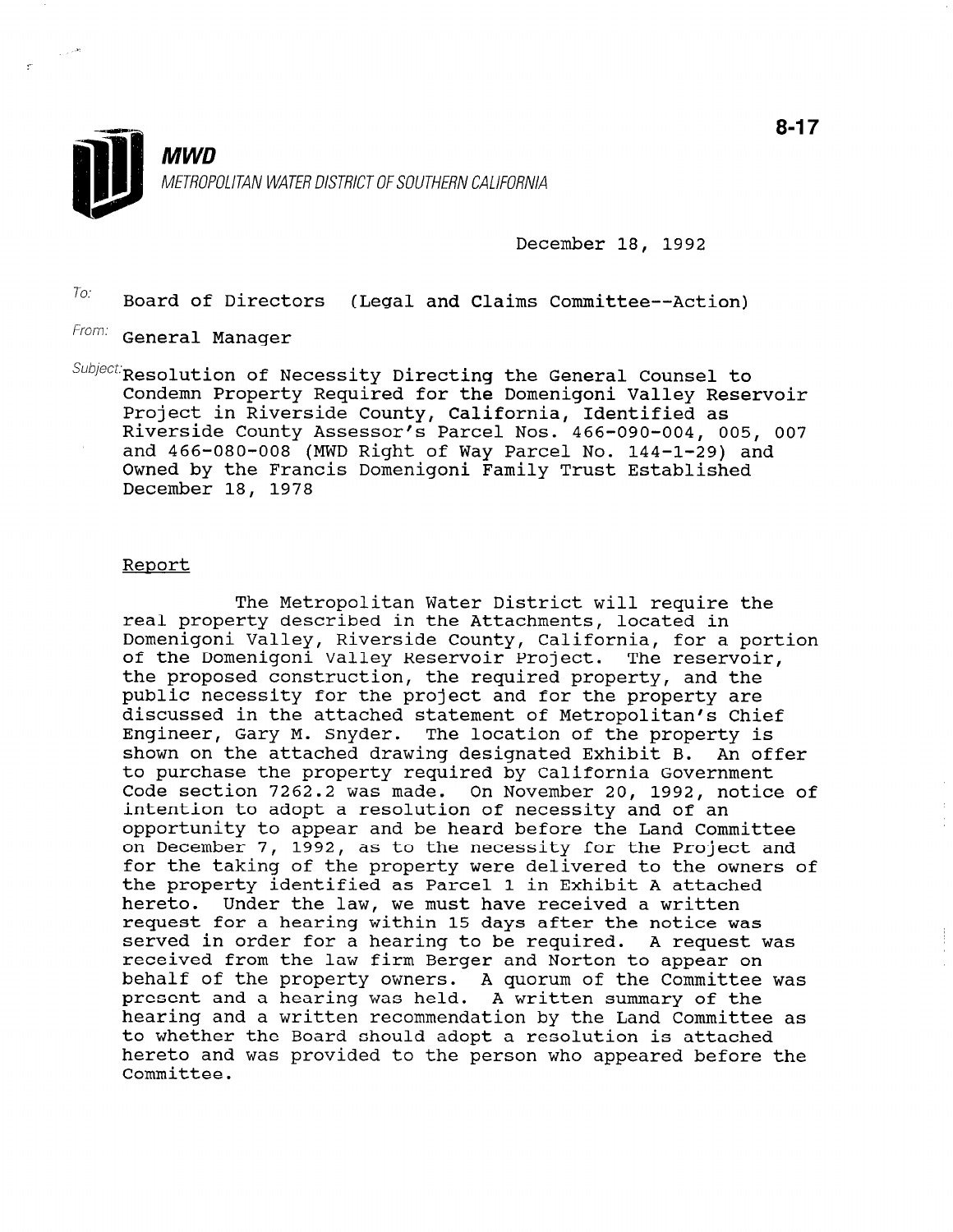

December 18, 1992

 $T_{0}$ : Board of Directors (Legal and Claims Committee--Action)

From: General Manager

 $\textit{Subject}$  Resolution of Necessity Directing the General Counsel to Condemn Property Required for the Domenigoni Valley Reservoir Project in Riverside County, California, Identified as Riverside County Assessor's Parcel Nos. 466-090-004, 005, 007 and 466-080-008 (MWD Right of Way Parcel No. 144-1-29) and Owned by the Francis Domenigoni Family Trust Established December 18, 1978

### Report

The Metropolitan Water District will require the real property described in the Attachments, located in Domenigoni Valley, Riverside County, California, for a portion of the Domenigoni Valley Reservoir Project. The reservoir, the proposed construction, the required property, and the public necessity for the project and for the property are discussed in the attached statement of Metropolitan's Chief Engineer, Gary M. Snyder. The location of the property is shown on the attached drawing designated Exhibit B. An offer to purchase the property required by California Government Code section 7262.2 was made. On November 20, 1992, notice of intention to adopt a resolution of necessity and of an opportunity to appear and be heard before the Land Committee on December 7, 1992, as to the necessity for the Project and on December 7, 1992, as to the necessity for the Project and for the taking of the property were delivered to the owners of<br>the property identified as Parcel 1 in Exhibit A attached hereto. Under the law, we must have received a written nereto. Onder the law, we must have received a written request for a nearing within 15 days after the hotice was<br>conved in order for a hearing to be required. A request was received in order for a nearing to be required. A request of the law  $\sim$ received from the law firm Berger and Norton to appear on behalf of the property owners. A quorum of the Committee was present and a hearing was held. A written summary of the hearing and a written recommendation by the Land Committee as to whether the Board should adopt a resolution is attached hereto and was provided to the person who appeared before the<br>Committee.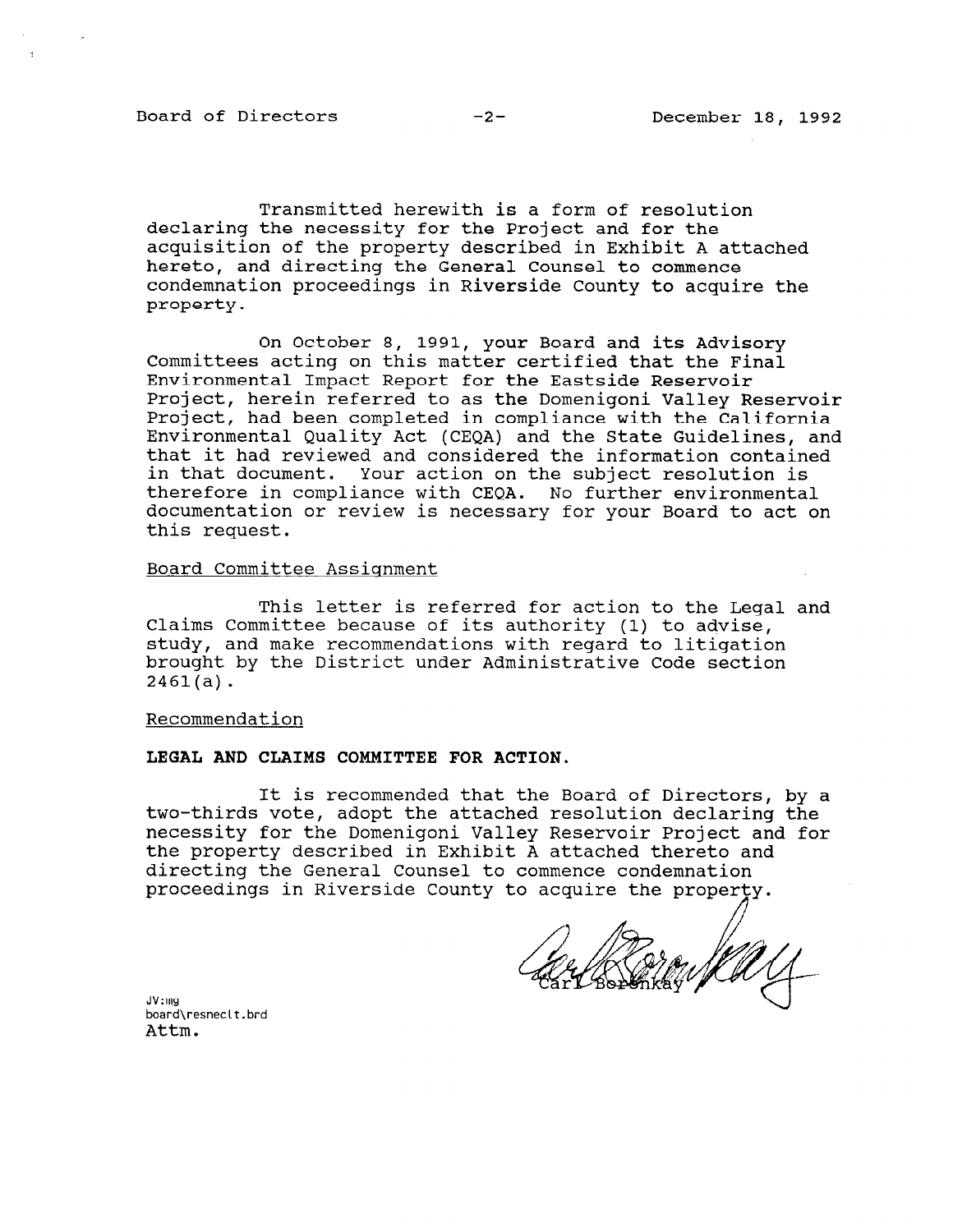Board of Directors -2- December 18, 1992

Transmitted herewith is a form of resolution declaring the necessity for the Project and for the acquisition of the property described in Exhibit A attached hereto, and directing the General Counsel to commence condemnation proceedings in Riverside County to acquire the property.

On October 8, 1991, your Board and its Advisory Committees acting on this matter certified that the Final Environmental Impact Report for the Eastside Reservoir Project, herein referred to as the Domenigoni Valley Reservoir Project, had been completed in compliance with the California Environmental Quality Act (CEQA) and the State Guidelines, and that it had reviewed and considered the information contained in that document. Your action on the subject resolution is therefore in compliance with CEQA. No further environmental documentation or review is necessary for your Board to act on this request.

## Board Committee Assignment

This letter is referred for action to the Legal and Claims Committee because of its authority (1) to advise, study, and make recommendations with regard to litigation brought by the District under Administrative Code section 2461(a).

#### Recommendation

#### LEGAL AND CLAIMS COMMITTEE FOR ACTION.

It is recommended that the Board of Directors, by a two-thirds vote, adopt the attached resolution declaring the necessity for the Domenigoni Valley Reservoir Project and for the property described in Exhibit A attached thereto and directing the General Counsel to commence condemnation proceedings in Riverside County to acquire the property.  $\bigtriangledown$ 

JV:mg uv.my<br>board\res<br>Attm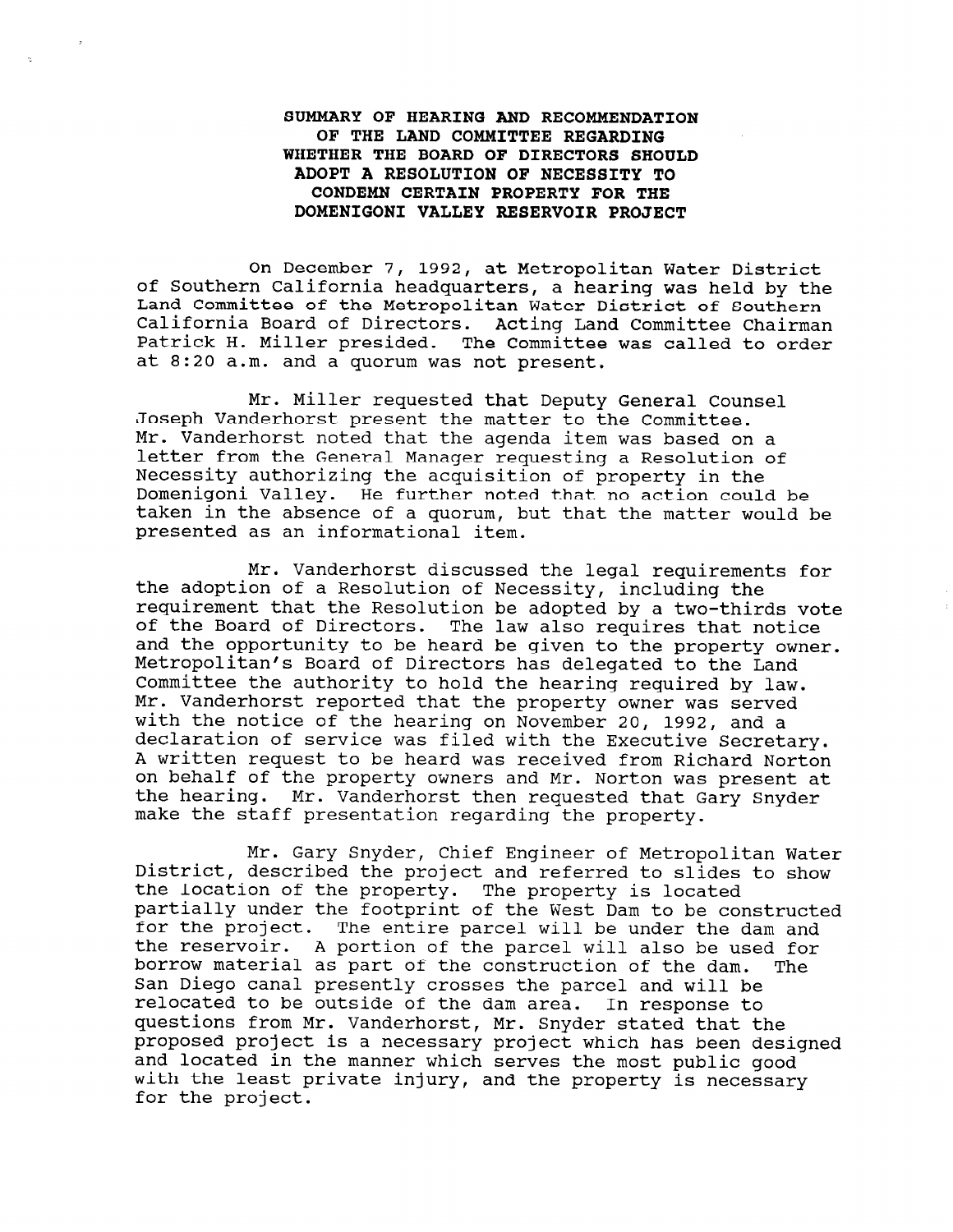# SUMMARY OF HEARING AND RECOMMENDATION OF THE LAND COMMITTEE REGARDING WHETHER THE BOARD OF DIRECTORS SHOULD ADOPT A RESOLUTION OF NECESSITY TO CONDEMN CERTAIN PROPERTY FOR THE DOMENIGONI VALLEY RESERVOIR PROJECT

On December 7, 1992, at Metropolitan Water District of Southern California headquarters, a hearing was held by the Land Committee of the Metropolitan Water District of Southern California Board of Directors. Acting Land Committee Chairman Patrick H. Miller presided. The Committee was called to order at 8:20 a.m. and a quorum was not present.

Mr. Miller requested that Deputy General Counsel Joseph Vanderhorst present the matter to the Committee. Mr. Vanderhorst noted that the agenda item was based on a letter from the General Manager requesting a Resolution of Necessity authorizing the acquisition of property in the Domenigoni Valley. He further noted that no action could be taken in the absence of a quorum, but that the matter would be presented as an informational item.

Mr. Vanderhorst discussed the legal requirements for the adoption of a Resolution of Necessity, including the requirement that the Resolution be adopted by a two-thirds vote of the Board of Directors. The law also requires that notice and the opportunity to be heard be given to the property owner. Metropolitan's Board of Directors has delegated to the Land Committee the authority to hold the hearing required by law. Mr. Vanderhorst reported that the property owner was served with the notice of the hearing on November 20, 1992, and a declaration of service was filed with the Executive Secretary. A written request to be heard was received from Richard Norton on behalf of the property owners and Mr. Norton was present at the hearing. Mr. Vanderhorst then requested that Gary Guide che hearing. This vanuelhorse enen requested that

Mr. Gary Snyder, Chief Engineer of Metropolitan Water nt. Gary Snyder, Chief Engineer of Metropolitan wate pistrict, described the project and referred to Silda<br>the location of the property. The property is lesst. the location of the property. The property is located partially under the footprint of the West Dam to be constructed for the project. The entire parcel will be under the dam and<br>the reservoir. A portion of the parcel will also be used for borrow material as part of the construction of the dam. The borrow material as part of the construction of the dam. San Diego canal presently crosses the parcel and will be relocated to be outside of the dam area. In response to questions from Mr. Vanderhorst, Mr. Snyder stated that the proposed project is a necessary project which has been designed and located in the manner which serves the most public good with the least private injury, and the property is necessary for the project.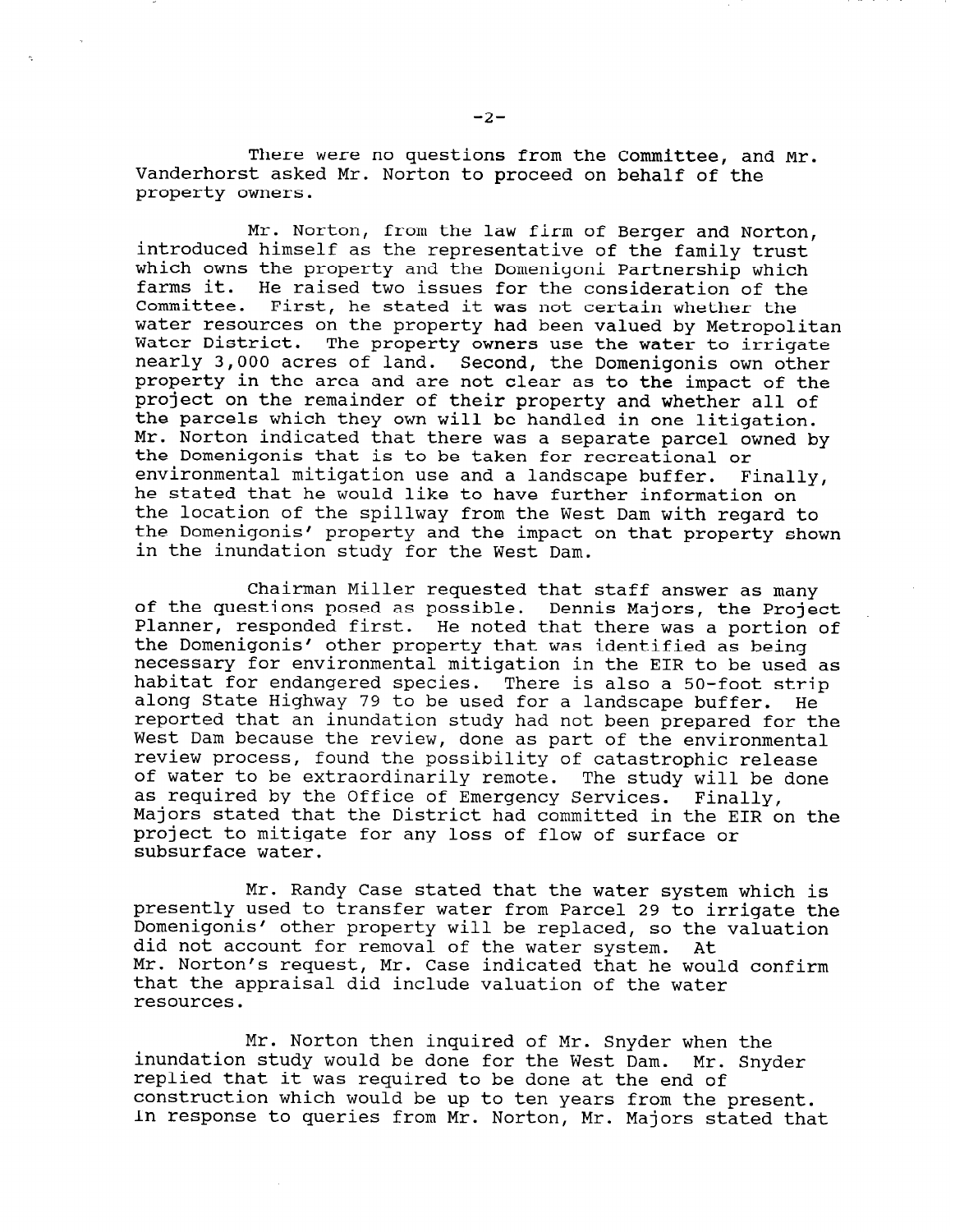There were no questions from the Committee, and Mr. Vanderhorst asked Mr. Norton to proceed on behalf of the property owners.

Mr. Norton, from the law firm of Berger and Norton, introduced himself as the representative of the family trust which owns the property and the Domenigoni Partnership which farms it. He raised two issues for the consideration of the Committee. First, he stated it was not certain whether the water resources on the property had been valued by Metropolitan Water District. The property owners use the water to irrigate nearly 3,000 acres of land. Second, the Domenigonis own other property in the area and are not clear as to the impact of the project on the remainder of their property and whether all of the parcels which they own will be handled in one litigation. Mr. Norton indicated that there was a separate parcel owned by the Domenigonis that is to be taken for recreational or environmental mitigation use and a landscape buffer. Finally, he stated that he would like to have further information on the location of the spillway from the West Dam with regard to the Domenigonis' property and the impact on that property shown in the inundation study for the West Dam.

Chairman Miller requested that staff answer as many of the questions posed as possible. Dennis Majors, the Project Planner, responded first. He noted that there was a portion of the Domenigonis' other property that was identified as being necessary for environmental mitigation in the EIR to be used as habitat for endangered species. There is also a 50-foot strip along State Highway 79 to be used for a landscape buffer. He reported that an inundation study had not been prepared for the West Dam because the review, done as part of the environmental review process, found the possibility of catastrophic release of water to be extraordinarily remote. The study will be done as required by the Office of Emergency Services. Finally, Majors stated that the District had committed in the EIR on the project to mitigate for any loss of flow of surface or subsurface water.

Mr. Randy Case stated that the water system which is presently used to transfer water from Parcel 29 to irrigate the Domenigonis' other property will be replaced, so the valuation did not account for removal of the water system. At Mr. Norton's request, Mr. Case indicated that he would confirm that the appraisal did include valuation of the water resources.

Mr. Norton then inquired of Mr. Snyder when the inundation study would be done for the West Dam. Mr. Snyder replied that it was required to be done at the end of the end of repried that it was required to be done at the end of In response to queries from Mr. Norton, Mr. Majors stated that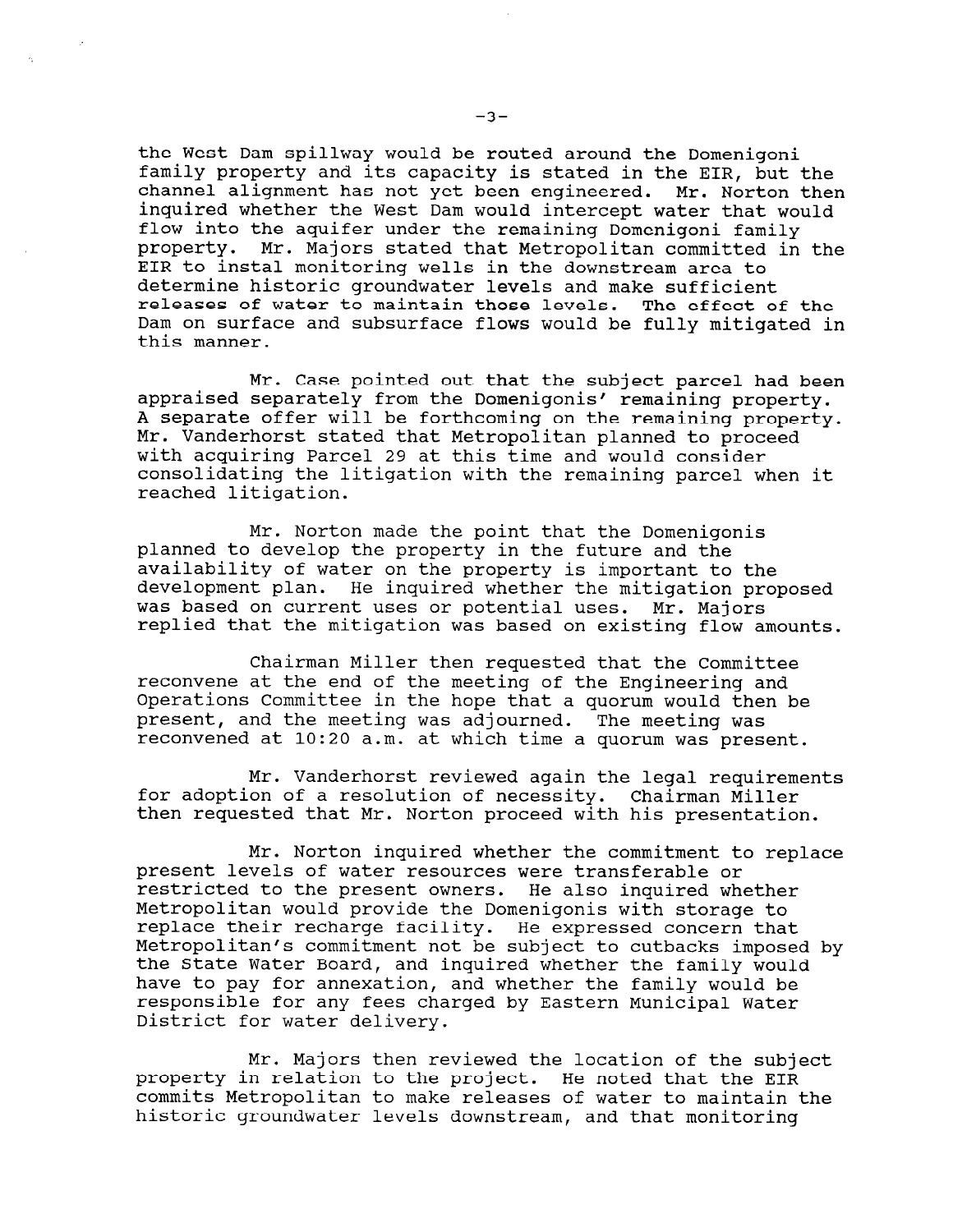the West Dam spillway would be routed around the Domenigoni family property and its capacity is stated in the EIR, but the channel alignment has not yet been engineered. Mr. Norton then inquired whether the West Dam would intercept water that would flow into the aquifer under the remaining Domenigoni family property. Mr. Majors stated that Metropolitan committed in the EIR to instal monitoring wells in the downstream area to determine historic groundwater levels and make sufficient releases of water to maintain those levels. The effect of the Dam on surface and subsurface flows would be fully mitigated in this manner.

Mr. Case pointed out that the subject parcel had been appraised separately from the Domenigonis' remaining property. A separate offer will be forthcoming on the remaining property. Mr. Vanderhorst stated that Metropolitan planned to proceed with acquiring Parcel 29 at this time and would consider consolidating the litigation with the remaining parcel when it reached litigation.

Mr. Norton made the point that the Domenigonis planned to develop the property in the future and the availability of water on the property is important to the development plan. He inquired whether the mitigation proposed was based on current uses or potential uses. Mr. Majors replied that the mitigation was based on existing flow amounts.

Chairman Miller then requested that the Committee reconvene at the end of the meeting of the Engineering and Operations Committee in the hope that a quorum would then be pperactions committed in the hope that a quorum would the present, and the meeting was adjourned. The meeting was<br>reconvened at 10:20 a.m. at which time a quorum was present.

Mr. Vanderhorst reviewed again the legal requirements for adoption of a resolution of necessity. Chairman Miller then requested that Mr. Norton proceed with his presentation.

Mr. Norton inquired whether the commitment to replace present levels of water resources were transferable or present revers or water resources were transferable or restricted to the present owners. He also inquired whether<br>Metropolitan would provide the Domenigonis with storage to replace their recharge facility. He expressed concern that Metropolitan's commitment not be subject to cutbacks imposed by the State Water Board, and inquired whether the family would have to pay for annexation, and whether the family would be nave to pay for annexation, and whether the family would be<br>responsible for any fees showed by Eastern Municipal Water responsible for any fees charged by Eastern Municipal Water<br>District for water delivery.

 $M_{\rm tot}$  is  $M_{\rm tot}$  reviewed then reviewed the subject of the subject of the subject of the subject of the subject of the subject of the subject of the subject of the subject of the subject of the subject of the subject property in relation to the property in relation to the Subject. He noted that the property is the contract of property in relation to the project. He noted that the EIR commits Metropolitan to make releases of water to maintain the historic groundwater levels downstream, and that monitoring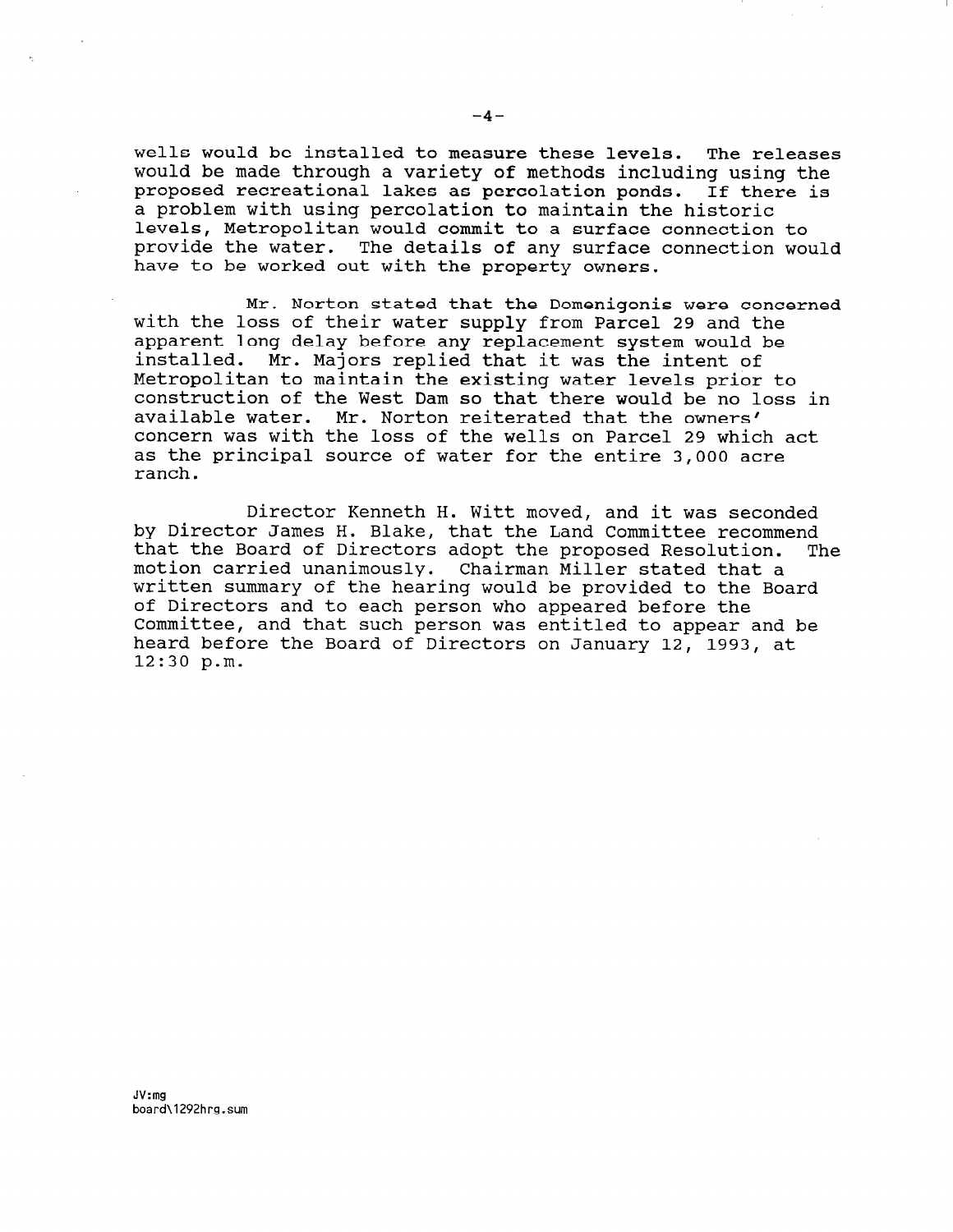wells would be installed to measure these levels. The releases would be made through a variety of methods including using the proposed recreational lakes as percolation ponds. If there is a problem with using percolation to maintain the historic levels, Metropolitan would commit to a surface connection to provide the water. The details of any surface connection would have to be worked out with the property owners.

Mr. Norton stated that the Domenigonis were concerned with the loss of their water supply from Parcel 29 and the apparent long delay before any replacement system would be installed. Mr. Majors replied that it was the intent of Metropolitan to maintain the existing water levels prior to construction of the West Dam so that there would be no loss in available water. Mr. Norton reiterated that the owners' concern was with the loss of the wells on Parcel 29 which act as the principal source of water for the entire 3,000 acre ranch.

Director Kenneth H. Witt moved, and it was seconded by Director James H. Blake, that the Land Committee recommend that the Board of Directors adopt the proposed Resolution. The motion carried unanimously. Chairman Miller stated that a motion carried unanimously. Chairman Miller stated that a<br>written summary of the hearing would be provided to the Board of Directors and to each person who appeared before the Committee, and that such person was entitled to appear and be heard before the Board of Directors on January 12, 1993, at 12:30 p.m.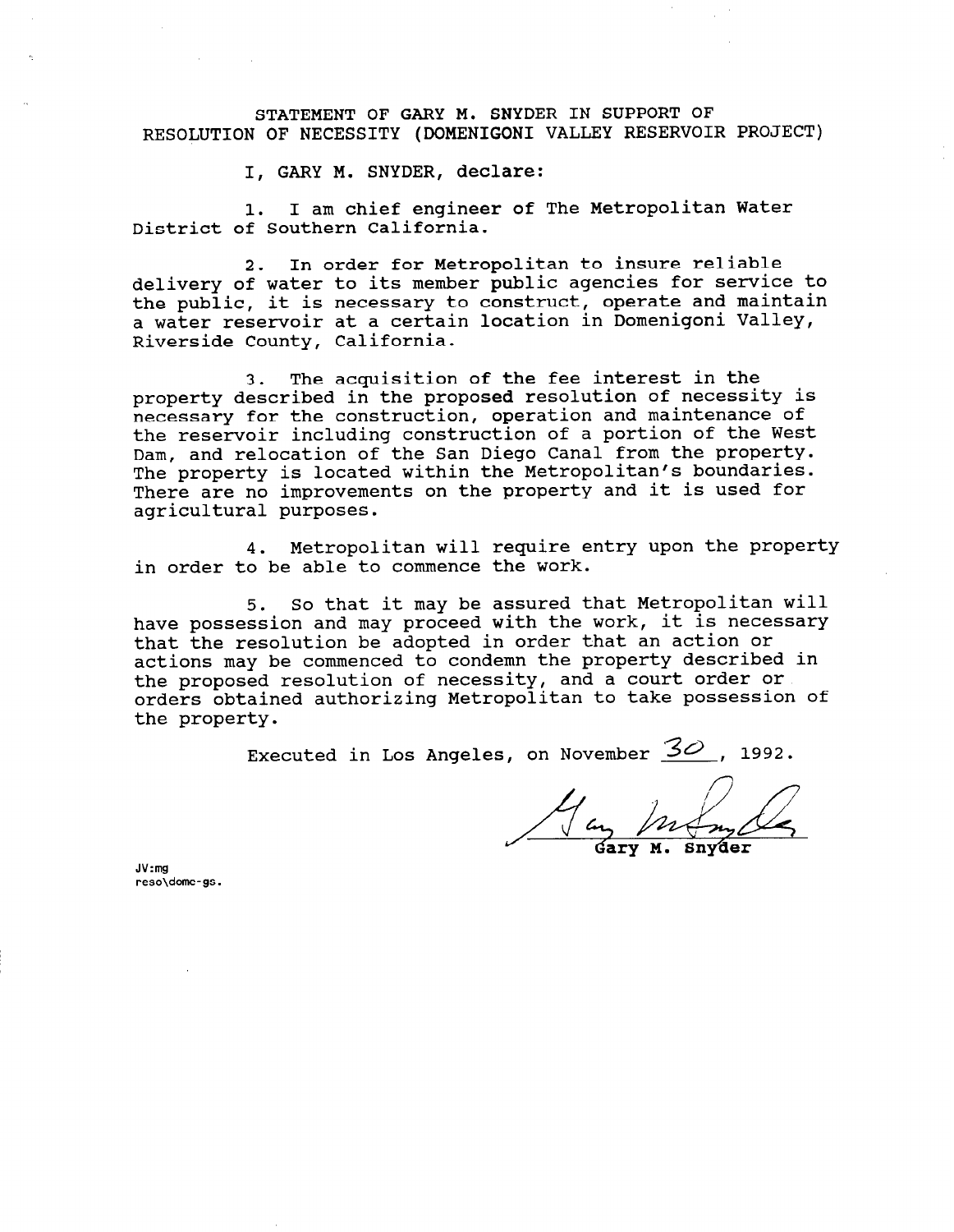STATEMENT OF GARY M. SNYDER IN SUPPORT OF RESOLUTION OF NECESSITY (DOMENIGONI VALLEY RESERVOIR PROJECT)

I, GARY M. SNYDER, declare:

1. I am chief engineer of The Metropolitan Water District of Southern California.

2. In order for Metropolitan to insure reliable delivery of water to its member public agencies for service to the public, it is necessary to construct, operate and maintain a water reservoir at a certain location in Domenigoni Valley, Riverside County, California.

3. The acquisition of the fee interest in the property described in the proposed resolution of necessity is necessary for the construction, operation and maintenance of the reservoir including construction of a portion of the West Dam, and relocation of the San Diego Canal from the property. The property is located within the Metropolitan's boundaries. There are no improvements on the property and it is used for agricultural purposes.

4. Metropolitan will require entry upon the property in order to be able to commence the work.

5. So that it may be assured that Metropolitan will have possession and may proceed with the work, it is necessary that the resolution be adopted in order that an action or actions may be commenced to condemn the property described in the proposed resolution of necessity, and a court order or orders obtained authorizing Metropolitan to take possession of the property.

Executed in Los Angeles, on November  $\mathcal{Z}\mathcal{O}$ , 1992.

 $\frac{M_{\text{day}}}{\text{day}}$ 

JV:mg reso\dome- gs.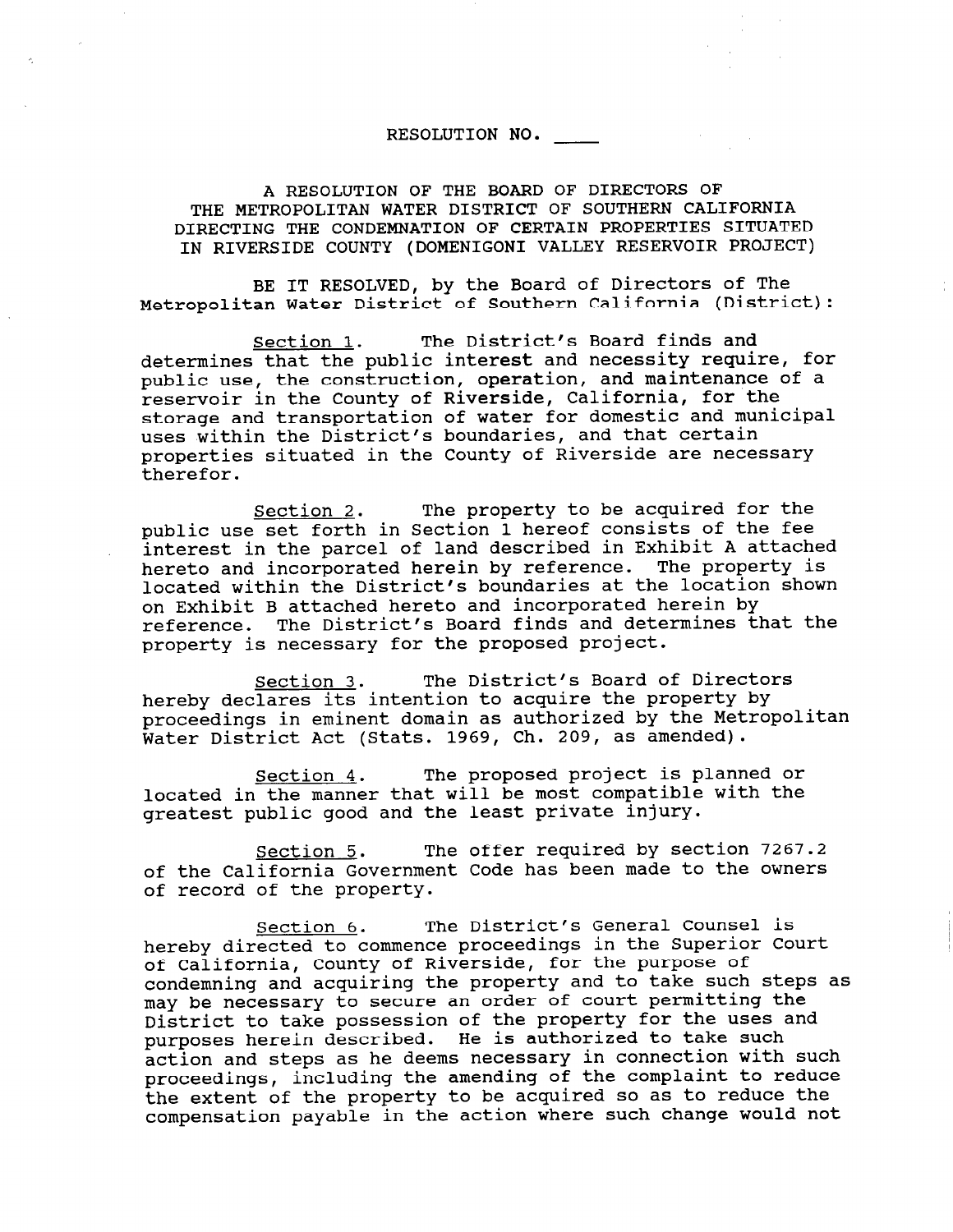## RESOLUTION NO.

A RESOLUTION OF THE BOARD OF DIRECTORS OF THE METROPOLITAN WATER DISTRICT OF SOUTHERN CALIFORNIA DIRECTING THE CONDEMNATION OF CERTAIN PROPERTIES SITUATED IN RIVERSIDE COUNTY (DOMENIGONI VALLEY RESERVOIR PROJECT)

BE IT RESOLVED, by the Board of Directors of The Metropolitan Water District of Southern California (District):

Section 1. The District's Board finds and determines that the public interest and necessity require, for public use, the construction, operation, and maintenance of a reservoir in the County of Riverside, California, for the storage and transportation of water for domestic and municipal uses within the District's boundaries, and that certain properties situated in the County of Riverside are necessary therefor.

Section 2. The property to be acquired for the public use set forth in Section 1 hereof consists of the fee interest in the parcel of land described in Exhibit A attached hereto and incorporated herein by reference. The property is located within the District's boundaries at the location shown on Exhibit B attached hereto and incorporated herein by reference. The District's Board finds and determines that the property is necessary for the proposed project.

Section 3. The District's Board of Directors hereby declares its intention to acquire the property by proceedings in eminent domain as authorized by the Metropolitan Water District Act (Stats. 1969, Ch. 209, as amended).

Section 4. The proposed project is planned or located in the manner that will be most compatible with the greatest public good and the least private injury.

Section 5. The offer required by section 7267.2 of the California Government Code has been made to the owners of record of the property.

Section 6. The District's General Counsel is hereby directed to commence proceedings in the Superior Court of California, County of Riverside, for the purpose of condemning and acquiring the property and to take such steps as may be necessary to secure an order of court permitting the may be necessary to secure an order or court permitting the pistrict to take possession of the property for the uses<br>District to take possession of the is authorized to take such purposes herein described. He is authorized to take such<br>action and steps as he deems necessary in connection with such proceedings, including the amending of the complaint to reduce the extent of the property to be acquired so as to reduce the compensation payable in the action where such change would not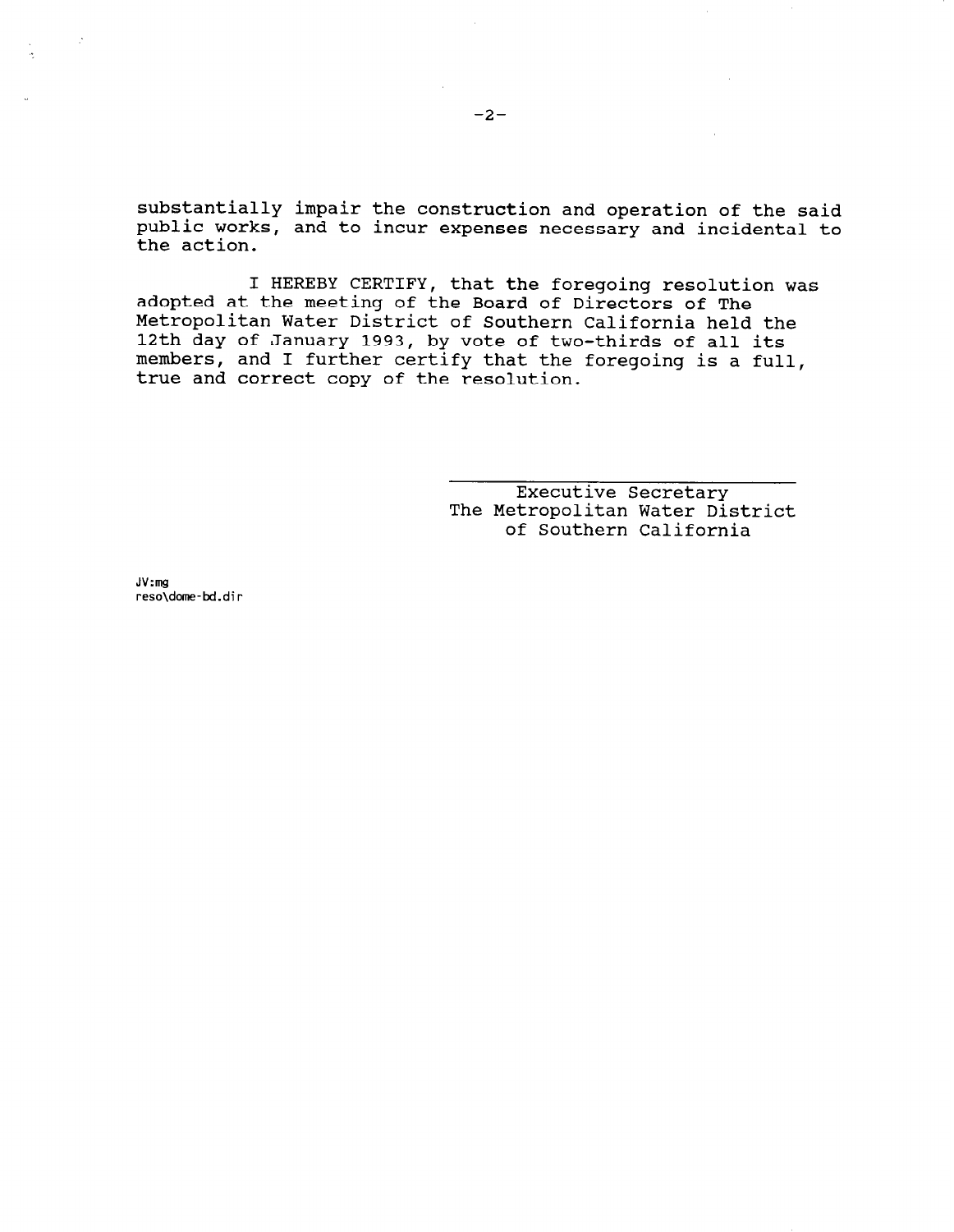substantially impair the construction and operation of the said public works, and to incur expenses necessary and incidental to the action.

I HEREBY CERTIFY, that the foregoing resolution was adopted at the meeting of the Board of Directors of The Metropolitan Water District of Southern California held the 12th day of January 1993, by vote of two-thirds of all its members, and I further certify that the foregoing is a full, true and correct copy of the resolution.

> Executive Secretary The Metropolitan Water District of Southern California

JV:mg reso\dome-bd.dir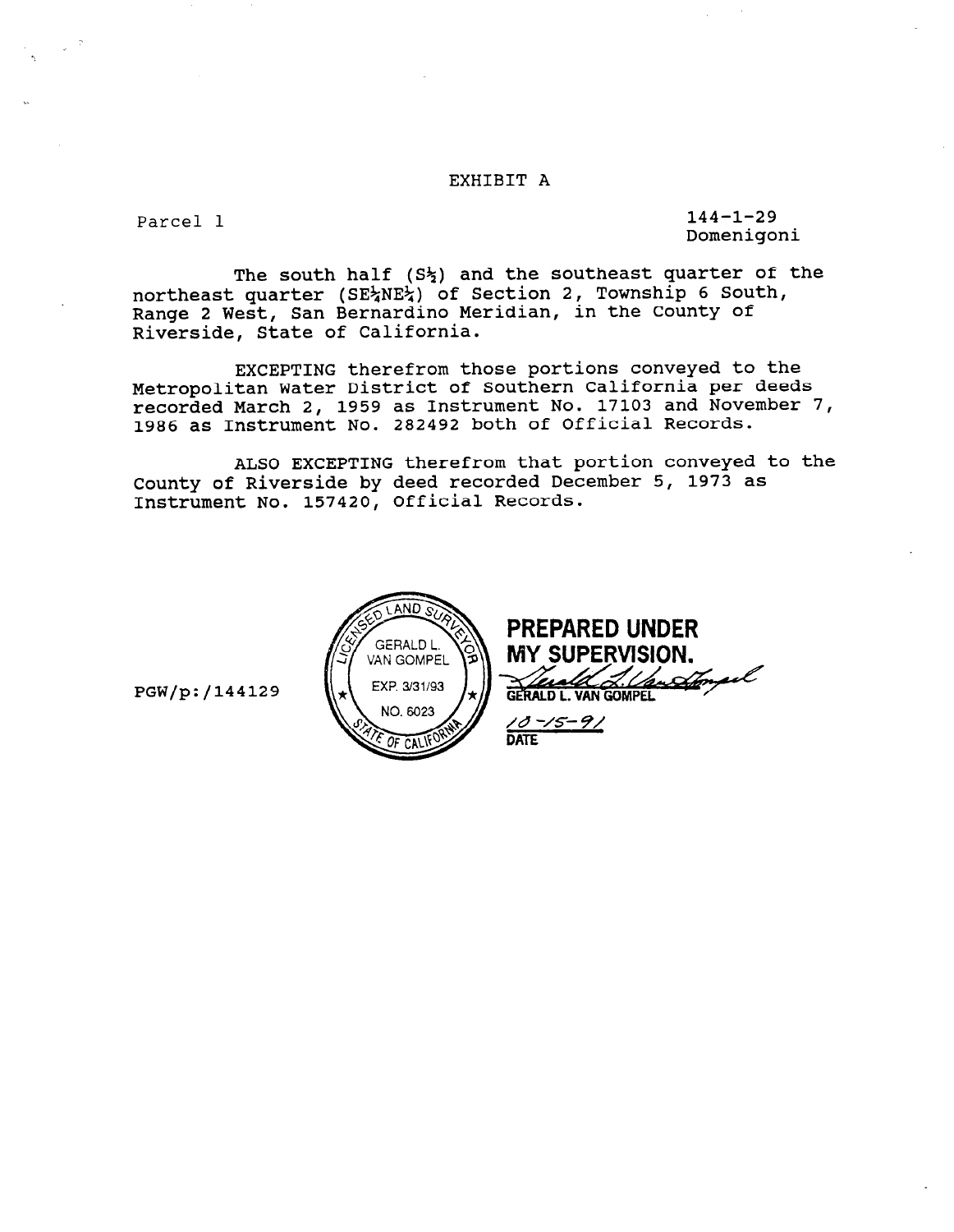### EXHIBIT A

Parcel 1 144-1-29 Domenigoni

The south half  $(S_2^L)$  and the southeast quarter of the northeast quarter (SE%NE%) of Section 2, Township 6 South, Range 2 West, San Bernardino Meridian, in the County of Riverside, State of California.

EXCEPTING therefrom those portions conveyed to the Metropolitan Water District of Southern California per deeds recorded March 2, 1959 as Instrument No. 17103 and November 7, 1986 as Instrument No. 282492 both of Official Records.

ALSO EXCEPTING therefrom that portion conveyed to the County of Riverside by deed recorded December 5, 1973 as Instrument No. 157420, Official Records.



PGW/p:/144129